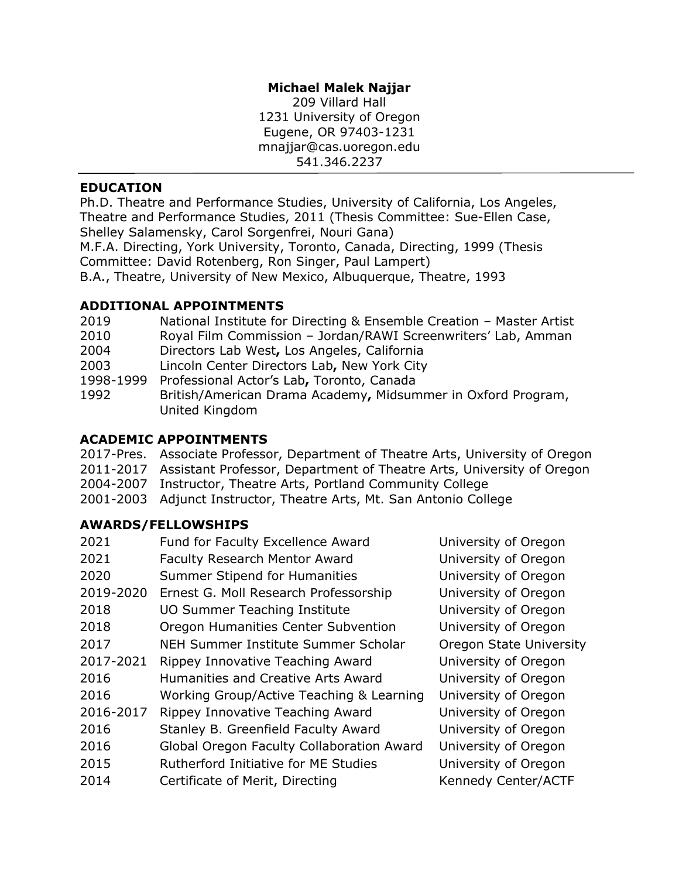## **Michael Malek Najjar**

209 Villard Hall 1231 University of Oregon Eugene, OR 97403-1231 mnajjar@cas.uoregon.edu 541.346.2237

## **EDUCATION**

Ph.D. Theatre and Performance Studies, University of California, Los Angeles, Theatre and Performance Studies, 2011 (Thesis Committee: Sue-Ellen Case, Shelley Salamensky, Carol Sorgenfrei, Nouri Gana) M.F.A. Directing, York University, Toronto, Canada, Directing, 1999 (Thesis Committee: David Rotenberg, Ron Singer, Paul Lampert)

B.A., Theatre, University of New Mexico, Albuquerque, Theatre, 1993

## **ADDITIONAL APPOINTMENTS**

| 2019      | National Institute for Directing & Ensemble Creation - Master Artist           |
|-----------|--------------------------------------------------------------------------------|
| 2010      | Royal Film Commission - Jordan/RAWI Screenwriters' Lab, Amman                  |
| 2004      | Directors Lab West, Los Angeles, California                                    |
| 2003      | Lincoln Center Directors Lab, New York City                                    |
| 1998-1999 | Professional Actor's Lab, Toronto, Canada                                      |
| 1992      | British/American Drama Academy, Midsummer in Oxford Program,<br>United Kingdom |

#### **ACADEMIC APPOINTMENTS**

- 2017-Pres. Associate Professor, Department of Theatre Arts, University of Oregon
- 2011-2017 Assistant Professor, Department of Theatre Arts, University of Oregon
- 2004-2007 Instructor, Theatre Arts, Portland Community College
- 2001-2003 Adjunct Instructor, Theatre Arts, Mt. San Antonio College

# **AWARDS/FELLOWSHIPS**

| 2021      | Fund for Faculty Excellence Award           | University of Oregon    |
|-----------|---------------------------------------------|-------------------------|
| 2021      | <b>Faculty Research Mentor Award</b>        | University of Oregon    |
| 2020      | Summer Stipend for Humanities               | University of Oregon    |
| 2019-2020 | Ernest G. Moll Research Professorship       | University of Oregon    |
| 2018      | <b>UO Summer Teaching Institute</b>         | University of Oregon    |
| 2018      | Oregon Humanities Center Subvention         | University of Oregon    |
| 2017      | NEH Summer Institute Summer Scholar         | Oregon State University |
| 2017-2021 | Rippey Innovative Teaching Award            | University of Oregon    |
| 2016      | Humanities and Creative Arts Award          | University of Oregon    |
| 2016      | Working Group/Active Teaching & Learning    | University of Oregon    |
| 2016-2017 | Rippey Innovative Teaching Award            | University of Oregon    |
| 2016      | Stanley B. Greenfield Faculty Award         | University of Oregon    |
| 2016      | Global Oregon Faculty Collaboration Award   | University of Oregon    |
| 2015      | <b>Rutherford Initiative for ME Studies</b> | University of Oregon    |
| 2014      | Certificate of Merit, Directing             | Kennedy Center/ACTF     |
|           |                                             |                         |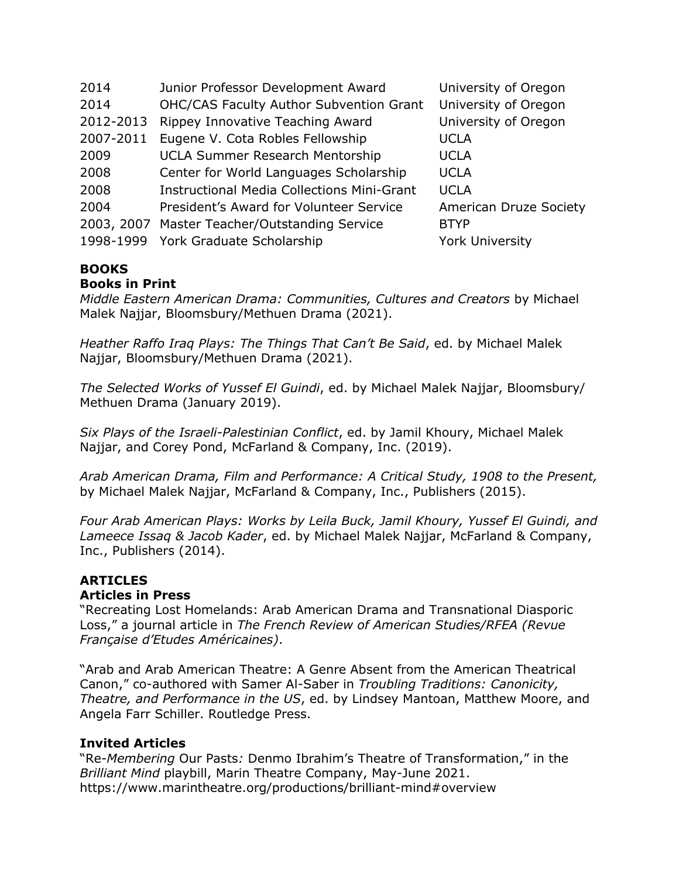| 2014       | Junior Professor Development Award                | University of Oregon   |
|------------|---------------------------------------------------|------------------------|
| 2014       | <b>OHC/CAS Faculty Author Subvention Grant</b>    | University of Oregon   |
| 2012-2013  | Rippey Innovative Teaching Award                  | University of Oregon   |
| 2007-2011  | Eugene V. Cota Robles Fellowship                  | <b>UCLA</b>            |
| 2009       | <b>UCLA Summer Research Mentorship</b>            | <b>UCLA</b>            |
| 2008       | Center for World Languages Scholarship            | <b>UCLA</b>            |
| 2008       | <b>Instructional Media Collections Mini-Grant</b> | <b>UCLA</b>            |
| 2004       | President's Award for Volunteer Service           | American Druze Society |
| 2003, 2007 | Master Teacher/Outstanding Service                | <b>BTYP</b>            |
| 1998-1999  | York Graduate Scholarship                         | <b>York University</b> |

# **BOOKS**

#### **Books in Print**

*Middle Eastern American Drama: Communities, Cultures and Creators* by Michael Malek Najjar, Bloomsbury/Methuen Drama (2021).

*Heather Raffo Iraq Plays: The Things That Can't Be Said*, ed. by Michael Malek Najjar, Bloomsbury/Methuen Drama (2021).

*The Selected Works of Yussef El Guindi*, ed. by Michael Malek Najjar, Bloomsbury/ Methuen Drama (January 2019).

*Six Plays of the Israeli-Palestinian Conflict*, ed. by Jamil Khoury, Michael Malek Najjar, and Corey Pond, McFarland & Company, Inc. (2019).

*Arab American Drama, Film and Performance: A Critical Study, 1908 to the Present,* by Michael Malek Najjar, McFarland & Company, Inc., Publishers (2015).

*Four Arab American Plays: Works by Leila Buck, Jamil Khoury, Yussef El Guindi, and Lameece Issaq & Jacob Kader*, ed. by Michael Malek Najjar, McFarland & Company, Inc., Publishers (2014).

#### **ARTICLES Articles in Press**

"Recreating Lost Homelands: Arab American Drama and Transnational Diasporic Loss," a journal article in *The French Review of American Studies/RFEA (Revue Française d'Etudes Américaines)*.

"Arab and Arab American Theatre: A Genre Absent from the American Theatrical Canon," co-authored with Samer Al-Saber in *Troubling Traditions: Canonicity, Theatre, and Performance in the US*, ed. by Lindsey Mantoan, Matthew Moore, and Angela Farr Schiller. Routledge Press.

#### **Invited Articles**

"Re-*Membering* Our Pasts*:* Denmo Ibrahim's Theatre of Transformation," in the *Brilliant Mind* playbill, Marin Theatre Company, May-June 2021. https://www.marintheatre.org/productions/brilliant-mind#overview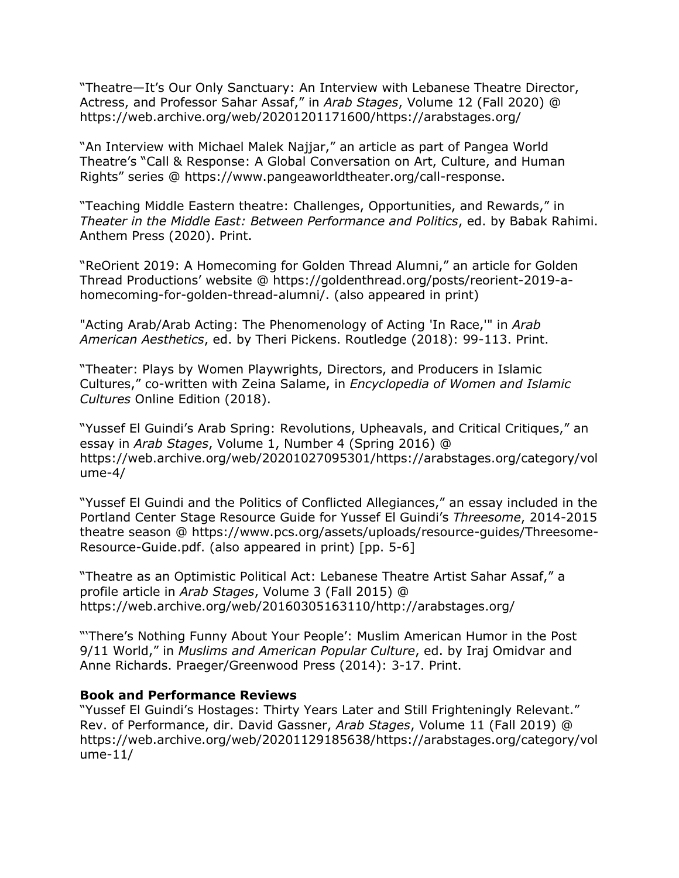"Theatre—It's Our Only Sanctuary: An Interview with Lebanese Theatre Director, Actress, and Professor Sahar Assaf," in *Arab Stages*, Volume 12 (Fall 2020) @ https://web.archive.org/web/20201201171600/https://arabstages.org/

"An Interview with Michael Malek Najjar," an article as part of Pangea World Theatre's "Call & Response: A Global Conversation on Art, Culture, and Human Rights" series @ https://www.pangeaworldtheater.org/call-response.

"Teaching Middle Eastern theatre: Challenges, Opportunities, and Rewards," in *Theater in the Middle East: Between Performance and Politics*, ed. by Babak Rahimi. Anthem Press (2020). Print.

"ReOrient 2019: A Homecoming for Golden Thread Alumni," an article for Golden Thread Productions' website @ https://goldenthread.org/posts/reorient-2019-ahomecoming-for-golden-thread-alumni/. (also appeared in print)

"Acting Arab/Arab Acting: The Phenomenology of Acting 'In Race,'" in *Arab American Aesthetics*, ed. by Theri Pickens. Routledge (2018): 99-113. Print.

"Theater: Plays by Women Playwrights, Directors, and Producers in Islamic Cultures," co-written with Zeina Salame, in *Encyclopedia of Women and Islamic Cultures* Online Edition (2018).

"Yussef El Guindi's Arab Spring: Revolutions, Upheavals, and Critical Critiques," an essay in *Arab Stages*, Volume 1, Number 4 (Spring 2016) @ https://web.archive.org/web/20201027095301/https://arabstages.org/category/vol ume-4/

"Yussef El Guindi and the Politics of Conflicted Allegiances," an essay included in the Portland Center Stage Resource Guide for Yussef El Guindi's *Threesome*, 2014-2015 theatre season @ https://www.pcs.org/assets/uploads/resource-guides/Threesome-Resource-Guide.pdf. (also appeared in print) [pp. 5-6]

"Theatre as an Optimistic Political Act: Lebanese Theatre Artist Sahar Assaf," a profile article in *Arab Stages*, Volume 3 (Fall 2015) @ https://web.archive.org/web/20160305163110/http://arabstages.org/

"'There's Nothing Funny About Your People': Muslim American Humor in the Post 9/11 World," in *Muslims and American Popular Culture*, ed. by Iraj Omidvar and Anne Richards. Praeger/Greenwood Press (2014): 3-17. Print.

#### **Book and Performance Reviews**

"Yussef El Guindi's Hostages: Thirty Years Later and Still Frighteningly Relevant." Rev. of Performance, dir. David Gassner, *Arab Stages*, Volume 11 (Fall 2019) @ https://web.archive.org/web/20201129185638/https://arabstages.org/category/vol ume-11/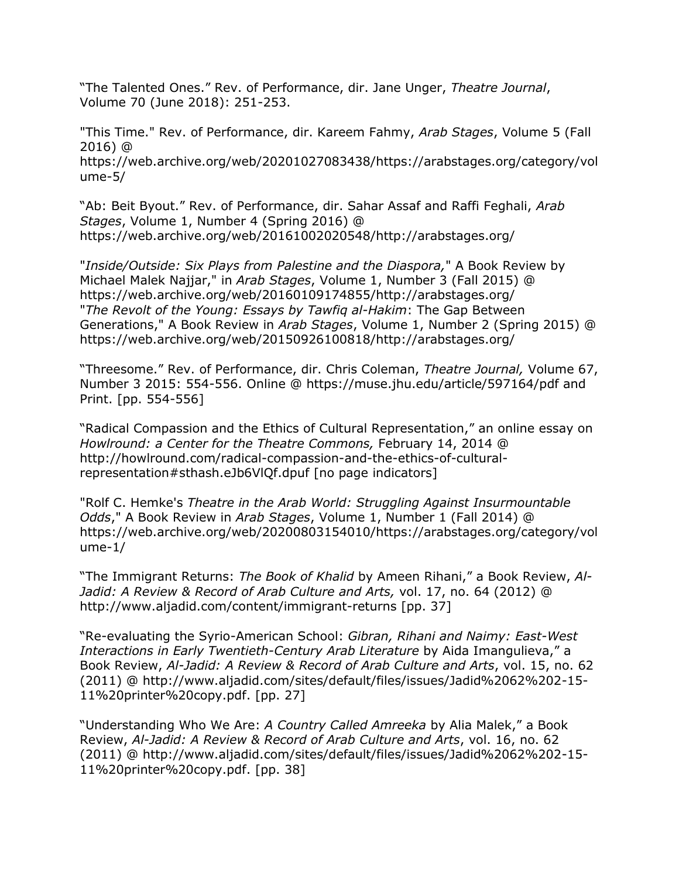"The Talented Ones." Rev. of Performance, dir. Jane Unger, *Theatre Journal*, Volume 70 (June 2018): 251-253.

"This Time." Rev. of Performance, dir. Kareem Fahmy, *Arab Stages*, Volume 5 (Fall 2016) @ https://web.archive.org/web/20201027083438/https://arabstages.org/category/vol ume-5/

"Ab: Beit Byout." Rev. of Performance, dir. Sahar Assaf and Raffi Feghali, *Arab Stages*, Volume 1, Number 4 (Spring 2016) @ https://web.archive.org/web/20161002020548/http://arabstages.org/

"*Inside/Outside: Six Plays from Palestine and the Diaspora,*" A Book Review by Michael Malek Najjar," in *Arab Stages*, Volume 1, Number 3 (Fall 2015) @ https://web.archive.org/web/20160109174855/http://arabstages.org/ "*The Revolt of the Young: Essays by Tawfiq al-Hakim*: The Gap Between Generations," A Book Review in *Arab Stages*, Volume 1, Number 2 (Spring 2015) @ https://web.archive.org/web/20150926100818/http://arabstages.org/

"Threesome." Rev. of Performance, dir. Chris Coleman, *Theatre Journal,* Volume 67, Number 3 2015: 554-556. Online @ https://muse.jhu.edu/article/597164/pdf and Print. [pp. 554-556]

"Radical Compassion and the Ethics of Cultural Representation," an online essay on *Howlround: a Center for the Theatre Commons,* February 14, 2014 @ http://howlround.com/radical-compassion-and-the-ethics-of-culturalrepresentation#sthash.eJb6VlQf.dpuf [no page indicators]

"Rolf C. Hemke's *Theatre in the Arab World: Struggling Against Insurmountable Odds*," A Book Review in *Arab Stages*, Volume 1, Number 1 (Fall 2014) @ https://web.archive.org/web/20200803154010/https://arabstages.org/category/vol ume-1/

"The Immigrant Returns: *The Book of Khalid* by Ameen Rihani," a Book Review, *Al-Jadid: A Review & Record of Arab Culture and Arts,* vol. 17, no. 64 (2012) @ http://www.aljadid.com/content/immigrant-returns [pp. 37]

"Re-evaluating the Syrio-American School: *Gibran, Rihani and Naimy: East-West Interactions in Early Twentieth-Century Arab Literature* by Aida Imangulieva," a Book Review, *Al-Jadid: A Review & Record of Arab Culture and Arts*, vol. 15, no. 62 (2011) @ http://www.aljadid.com/sites/default/files/issues/Jadid%2062%202-15- 11%20printer%20copy.pdf. [pp. 27]

"Understanding Who We Are: *A Country Called Amreeka* by Alia Malek," a Book Review, *Al-Jadid: A Review & Record of Arab Culture and Arts*, vol. 16, no. 62 (2011) @ http://www.aljadid.com/sites/default/files/issues/Jadid%2062%202-15- 11%20printer%20copy.pdf. [pp. 38]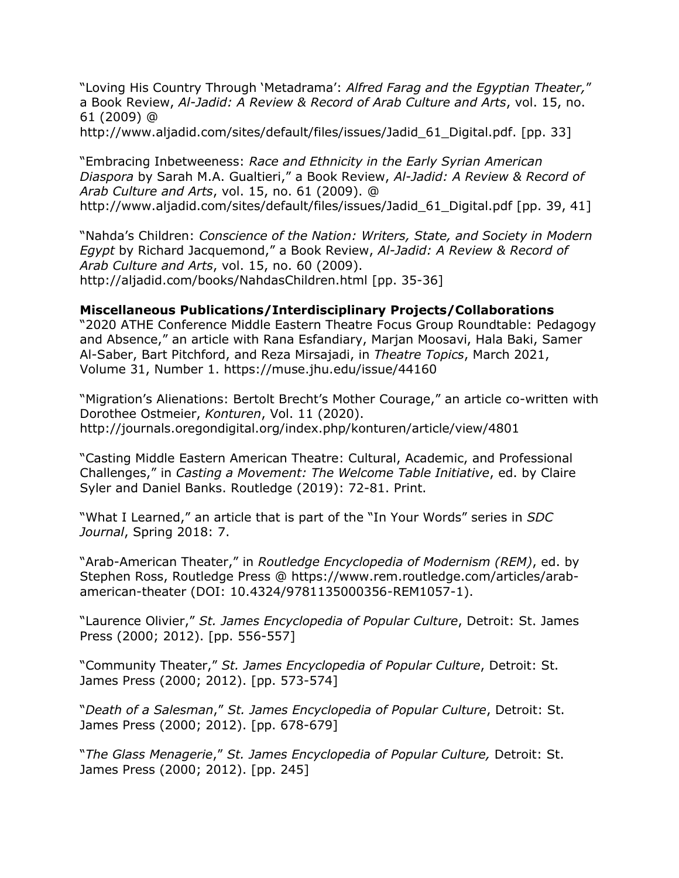"Loving His Country Through 'Metadrama': *Alfred Farag and the Egyptian Theater,*" a Book Review, *Al-Jadid: A Review & Record of Arab Culture and Arts*, vol. 15, no. 61 (2009) @

http://www.aljadid.com/sites/default/files/issues/Jadid 61 Digital.pdf. [pp. 33]

"Embracing Inbetweeness: *Race and Ethnicity in the Early Syrian American Diaspora* by Sarah M.A. Gualtieri," a Book Review, *Al-Jadid: A Review & Record of Arab Culture and Arts*, vol. 15, no. 61 (2009). @ http://www.aljadid.com/sites/default/files/issues/Jadid\_61\_Digital.pdf [pp. 39, 41]

"Nahda's Children: *Conscience of the Nation: Writers, State, and Society in Modern Egypt* by Richard Jacquemond," a Book Review, *Al-Jadid: A Review & Record of Arab Culture and Arts*, vol. 15, no. 60 (2009). http://aljadid.com/books/NahdasChildren.html [pp. 35-36]

#### **Miscellaneous Publications/Interdisciplinary Projects/Collaborations**

"2020 ATHE Conference Middle Eastern Theatre Focus Group Roundtable: Pedagogy and Absence," an article with Rana Esfandiary, Marjan Moosavi, Hala Baki, Samer Al-Saber, Bart Pitchford, and Reza Mirsajadi, in *Theatre Topics*, March 2021, Volume 31, Number 1. https://muse.jhu.edu/issue/44160

"Migration's Alienations: Bertolt Brecht's Mother Courage," an article co-written with Dorothee Ostmeier, *Konturen*, Vol. 11 (2020). http://journals.oregondigital.org/index.php/konturen/article/view/4801

"Casting Middle Eastern American Theatre: Cultural, Academic, and Professional Challenges," in *Casting a Movement: The Welcome Table Initiative*, ed. by Claire Syler and Daniel Banks. Routledge (2019): 72-81. Print.

"What I Learned," an article that is part of the "In Your Words" series in *SDC Journal*, Spring 2018: 7.

"Arab-American Theater," in *Routledge Encyclopedia of Modernism (REM)*, ed. by Stephen Ross, Routledge Press @ https://www.rem.routledge.com/articles/arabamerican-theater (DOI: 10.4324/9781135000356-REM1057-1).

"Laurence Olivier," *St. James Encyclopedia of Popular Culture*, Detroit: St. James Press (2000; 2012). [pp. 556-557]

"Community Theater," *St. James Encyclopedia of Popular Culture*, Detroit: St. James Press (2000; 2012). [pp. 573-574]

"*Death of a Salesman*," *St. James Encyclopedia of Popular Culture*, Detroit: St. James Press (2000; 2012). [pp. 678-679]

"*The Glass Menagerie*," *St. James Encyclopedia of Popular Culture,* Detroit: St. James Press (2000; 2012). [pp. 245]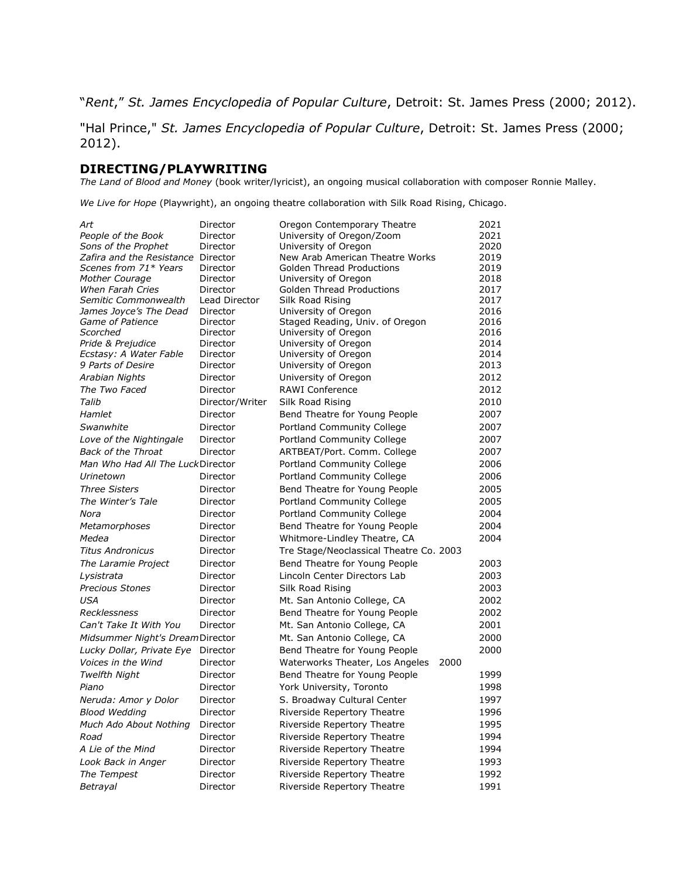"*Rent*," *St. James Encyclopedia of Popular Culture*, Detroit: St. James Press (2000; 2012).

"Hal Prince," *St. James Encyclopedia of Popular Culture*, Detroit: St. James Press (2000; 2012).

#### **DIRECTING/PLAYWRITING**

*The Land of Blood and Money* (book writer/lyricist), an ongoing musical collaboration with composer Ronnie Malley.

*We Live for Hope* (Playwright), an ongoing theatre collaboration with Silk Road Rising, Chicago.

| Art                              | Director        | Oregon Contemporary Theatre             | 2021 |
|----------------------------------|-----------------|-----------------------------------------|------|
| People of the Book               | Director        | University of Oregon/Zoom               | 2021 |
| Sons of the Prophet              | Director        | University of Oregon                    | 2020 |
| Zafira and the Resistance        | Director        | New Arab American Theatre Works         | 2019 |
| Scenes from 71* Years            | Director        | <b>Golden Thread Productions</b>        | 2019 |
| Mother Courage                   | Director        | University of Oregon                    | 2018 |
| <b>When Farah Cries</b>          | Director        | <b>Golden Thread Productions</b>        | 2017 |
| Semitic Commonwealth             | Lead Director   | Silk Road Rising                        | 2017 |
| James Joyce's The Dead           | Director        | University of Oregon                    | 2016 |
| Game of Patience                 | Director        | Staged Reading, Univ. of Oregon         | 2016 |
| Scorched                         | Director        | University of Oregon                    | 2016 |
| Pride & Prejudice                | Director        | University of Oregon                    | 2014 |
| Ecstasy: A Water Fable           | Director        | University of Oregon                    | 2014 |
| 9 Parts of Desire                | Director        | University of Oregon                    | 2013 |
| Arabian Nights                   | Director        | University of Oregon                    | 2012 |
| The Two Faced                    | Director        | <b>RAWI Conference</b>                  | 2012 |
| Talib                            | Director/Writer | Silk Road Rising                        | 2010 |
| Hamlet                           | Director        | Bend Theatre for Young People           | 2007 |
| Swanwhite                        | Director        | Portland Community College              | 2007 |
|                                  |                 |                                         | 2007 |
| Love of the Nightingale          | Director        | Portland Community College              |      |
| <b>Back of the Throat</b>        | Director        | ARTBEAT/Port. Comm. College             | 2007 |
| Man Who Had All The LuckDirector |                 | Portland Community College              | 2006 |
| Urinetown                        | Director        | Portland Community College              | 2006 |
| <b>Three Sisters</b>             | Director        | Bend Theatre for Young People           | 2005 |
| The Winter's Tale                | Director        | Portland Community College              | 2005 |
| Nora                             | Director        | Portland Community College              | 2004 |
| Metamorphoses                    | Director        | Bend Theatre for Young People           | 2004 |
| Medea                            | Director        | Whitmore-Lindley Theatre, CA            | 2004 |
| <b>Titus Andronicus</b>          | Director        | Tre Stage/Neoclassical Theatre Co. 2003 |      |
| The Laramie Project              | Director        | Bend Theatre for Young People           | 2003 |
| Lysistrata                       | Director        | Lincoln Center Directors Lab            | 2003 |
| <b>Precious Stones</b>           | Director        | Silk Road Rising                        | 2003 |
| <b>USA</b>                       | Director        |                                         | 2002 |
|                                  |                 | Mt. San Antonio College, CA             |      |
| <b>Recklessness</b>              | Director        | Bend Theatre for Young People           | 2002 |
| Can't Take It With You           | Director        | Mt. San Antonio College, CA             | 2001 |
| Midsummer Night's Dream Director |                 | Mt. San Antonio College, CA             | 2000 |
| Lucky Dollar, Private Eye        | Director        | Bend Theatre for Young People           | 2000 |
| Voices in the Wind               | Director        | Waterworks Theater, Los Angeles<br>2000 |      |
| Twelfth Night                    | Director        | Bend Theatre for Young People           | 1999 |
| Piano                            | Director        | York University, Toronto                | 1998 |
| Neruda: Amor y Dolor             | Director        | S. Broadway Cultural Center             | 1997 |
| <b>Blood Wedding</b>             | Director        | Riverside Repertory Theatre             | 1996 |
| Much Ado About Nothing           | Director        | Riverside Repertory Theatre             | 1995 |
| Road                             | Director        | Riverside Repertory Theatre             | 1994 |
|                                  |                 |                                         | 1994 |
| A Lie of the Mind                | Director        | Riverside Repertory Theatre             |      |
| Look Back in Anger               | Director        | Riverside Repertory Theatre             | 1993 |
| The Tempest                      | Director        | Riverside Repertory Theatre             | 1992 |
| Betrayal                         | Director        | Riverside Repertory Theatre             | 1991 |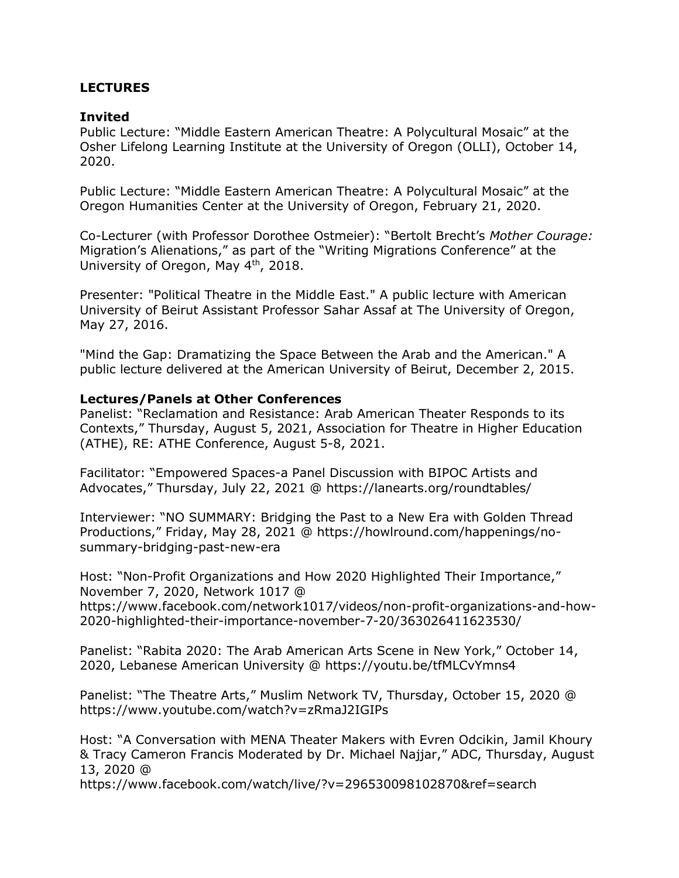#### **LECTURES**

#### **Invited**

Public Lecture: "Middle Eastern American Theatre: A Polycultural Mosaic" at the Osher Lifelong Learning Institute at the University of Oregon (OLLI), October 14, 2020.

Public Lecture: "Middle Eastern American Theatre: A Polycultural Mosaic" at the Oregon Humanities Center at the University of Oregon, February 21, 2020.

Co-Lecturer (with Professor Dorothee Ostmeier): "Bertolt Brecht's *Mother Courage:* Migration's Alienations," as part of the "Writing Migrations Conference" at the University of Oregon, May 4<sup>th</sup>, 2018.

Presenter: "Political Theatre in the Middle East." A public lecture with American University of Beirut Assistant Professor Sahar Assaf at The University of Oregon, May 27, 2016.

"Mind the Gap: Dramatizing the Space Between the Arab and the American." A public lecture delivered at the American University of Beirut, December 2, 2015.

#### **Lectures/Panels at Other Conferences**

Panelist: "Reclamation and Resistance: Arab American Theater Responds to its Contexts," Thursday, August 5, 2021, Association for Theatre in Higher Education (ATHE), RE: ATHE Conference, August 5-8, 2021.

Facilitator: "Empowered Spaces-a Panel Discussion with BIPOC Artists and Advocates," Thursday, July 22, 2021 @ https://lanearts.org/roundtables/

Interviewer: "NO SUMMARY: Bridging the Past to a New Era with Golden Thread Productions," Friday, May 28, 2021 @ https://howlround.com/happenings/nosummary-bridging-past-new-era

Host: "Non-Profit Organizations and How 2020 Highlighted Their Importance," November 7, 2020, Network 1017 @ https://www.facebook.com/network1017/videos/non-profit-organizations-and-how-2020-highlighted-their-importance-november-7-20/363026411623530/

Panelist: "Rabita 2020: The Arab American Arts Scene in New York," October 14, 2020, Lebanese American University @ https://youtu.be/tfMLCvYmns4

Panelist: "The Theatre Arts," Muslim Network TV, Thursday, October 15, 2020 @ https://www.youtube.com/watch?v=zRmaJ2IGIPs

Host: "A Conversation with MENA Theater Makers with Evren Odcikin, Jamil Khoury & Tracy Cameron Francis Moderated by Dr. Michael Najjar," ADC, Thursday, August 13, 2020 @

https://www.facebook.com/watch/live/?v=296530098102870&ref=search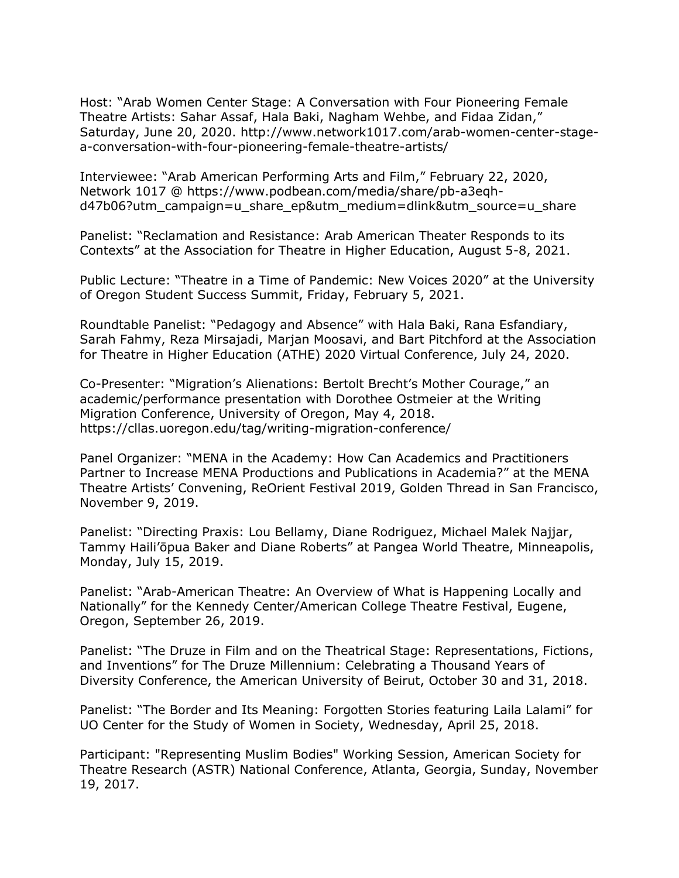Host: "Arab Women Center Stage: A Conversation with Four Pioneering Female Theatre Artists: Sahar Assaf, Hala Baki, Nagham Wehbe, and Fidaa Zidan," Saturday, June 20, 2020. http://www.network1017.com/arab-women-center-stagea-conversation-with-four-pioneering-female-theatre-artists/

Interviewee: "Arab American Performing Arts and Film," February 22, 2020, Network 1017 @ https://www.podbean.com/media/share/pb-a3eqhd47b06?utm\_campaign=u\_share\_ep&utm\_medium=dlink&utm\_source=u\_share

Panelist: "Reclamation and Resistance: Arab American Theater Responds to its Contexts" at the Association for Theatre in Higher Education, August 5-8, 2021.

Public Lecture: "Theatre in a Time of Pandemic: New Voices 2020" at the University of Oregon Student Success Summit, Friday, February 5, 2021.

Roundtable Panelist: "Pedagogy and Absence" with Hala Baki, Rana Esfandiary, Sarah Fahmy, Reza Mirsajadi, Marjan Moosavi, and Bart Pitchford at the Association for Theatre in Higher Education (ATHE) 2020 Virtual Conference, July 24, 2020.

Co-Presenter: "Migration's Alienations: Bertolt Brecht's Mother Courage," an academic/performance presentation with Dorothee Ostmeier at the Writing Migration Conference, University of Oregon, May 4, 2018. https://cllas.uoregon.edu/tag/writing-migration-conference/

Panel Organizer: "MENA in the Academy: How Can Academics and Practitioners Partner to Increase MENA Productions and Publications in Academia?" at the MENA Theatre Artists' Convening, ReOrient Festival 2019, Golden Thread in San Francisco, November 9, 2019.

Panelist: "Directing Praxis: Lou Bellamy, Diane Rodriguez, Michael Malek Najjar, Tammy Haili'ōpua Baker and Diane Roberts" at Pangea World Theatre, Minneapolis, Monday, July 15, 2019.

Panelist: "Arab-American Theatre: An Overview of What is Happening Locally and Nationally" for the Kennedy Center/American College Theatre Festival, Eugene, Oregon, September 26, 2019.

Panelist: "The Druze in Film and on the Theatrical Stage: Representations, Fictions, and Inventions" for The Druze Millennium: Celebrating a Thousand Years of Diversity Conference, the American University of Beirut, October 30 and 31, 2018.

Panelist: "The Border and Its Meaning: Forgotten Stories featuring Laila Lalami" for UO Center for the Study of Women in Society, Wednesday, April 25, 2018.

Participant: "Representing Muslim Bodies" Working Session, American Society for Theatre Research (ASTR) National Conference, Atlanta, Georgia, Sunday, November 19, 2017.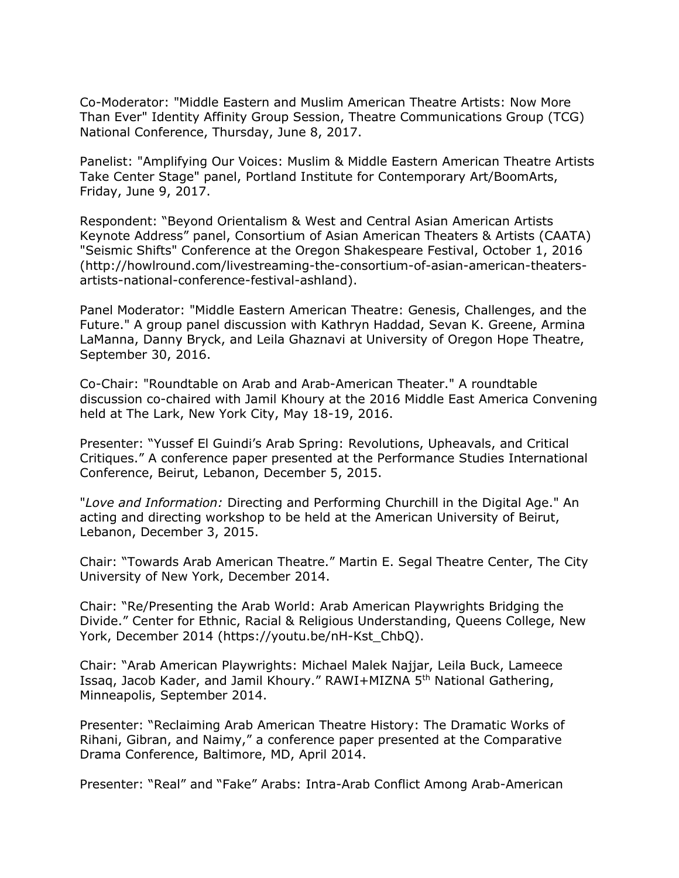Co-Moderator: "Middle Eastern and Muslim American Theatre Artists: Now More Than Ever" Identity Affinity Group Session, Theatre Communications Group (TCG) National Conference, Thursday, June 8, 2017.

Panelist: "Amplifying Our Voices: Muslim & Middle Eastern American Theatre Artists Take Center Stage" panel, Portland Institute for Contemporary Art/BoomArts, Friday, June 9, 2017.

Respondent: "Beyond Orientalism & West and Central Asian American Artists Keynote Address" panel, Consortium of Asian American Theaters & Artists (CAATA) "Seismic Shifts" Conference at the Oregon Shakespeare Festival, October 1, 2016 (http://howlround.com/livestreaming-the-consortium-of-asian-american-theatersartists-national-conference-festival-ashland).

Panel Moderator: "Middle Eastern American Theatre: Genesis, Challenges, and the Future." A group panel discussion with Kathryn Haddad, Sevan K. Greene, Armina LaManna, Danny Bryck, and Leila Ghaznavi at University of Oregon Hope Theatre, September 30, 2016.

Co-Chair: "Roundtable on Arab and Arab-American Theater." A roundtable discussion co-chaired with Jamil Khoury at the 2016 Middle East America Convening held at The Lark, New York City, May 18-19, 2016.

Presenter: "Yussef El Guindi's Arab Spring: Revolutions, Upheavals, and Critical Critiques." A conference paper presented at the Performance Studies International Conference, Beirut, Lebanon, December 5, 2015.

"*Love and Information:* Directing and Performing Churchill in the Digital Age." An acting and directing workshop to be held at the American University of Beirut, Lebanon, December 3, 2015.

Chair: "Towards Arab American Theatre." Martin E. Segal Theatre Center, The City University of New York, December 2014.

Chair: "Re/Presenting the Arab World: Arab American Playwrights Bridging the Divide." Center for Ethnic, Racial & Religious Understanding, Queens College, New York, December 2014 (https://youtu.be/nH-Kst\_ChbQ).

Chair: "Arab American Playwrights: Michael Malek Najjar, Leila Buck, Lameece Issag, Jacob Kader, and Jamil Khoury." RAWI+MIZNA 5<sup>th</sup> National Gathering, Minneapolis, September 2014.

Presenter: "Reclaiming Arab American Theatre History: The Dramatic Works of Rihani, Gibran, and Naimy," a conference paper presented at the Comparative Drama Conference, Baltimore, MD, April 2014.

Presenter: "Real" and "Fake" Arabs: Intra-Arab Conflict Among Arab-American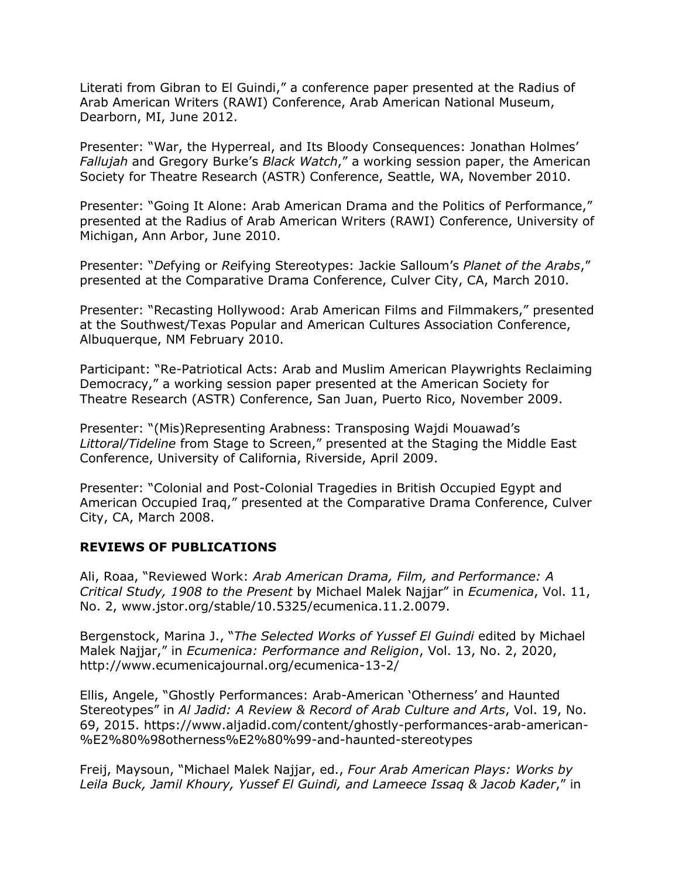Literati from Gibran to El Guindi," a conference paper presented at the Radius of Arab American Writers (RAWI) Conference, Arab American National Museum, Dearborn, MI, June 2012.

Presenter: "War, the Hyperreal, and Its Bloody Consequences: Jonathan Holmes' *Fallujah* and Gregory Burke's *Black Watch*," a working session paper, the American Society for Theatre Research (ASTR) Conference, Seattle, WA, November 2010.

Presenter: "Going It Alone: Arab American Drama and the Politics of Performance," presented at the Radius of Arab American Writers (RAWI) Conference, University of Michigan, Ann Arbor, June 2010.

Presenter: "*De*fying or *Re*ifying Stereotypes: Jackie Salloum's *Planet of the Arabs*," presented at the Comparative Drama Conference, Culver City, CA, March 2010.

Presenter: "Recasting Hollywood: Arab American Films and Filmmakers," presented at the Southwest/Texas Popular and American Cultures Association Conference, Albuquerque, NM February 2010.

Participant: "Re-Patriotical Acts: Arab and Muslim American Playwrights Reclaiming Democracy," a working session paper presented at the American Society for Theatre Research (ASTR) Conference, San Juan, Puerto Rico, November 2009.

Presenter: "(Mis)Representing Arabness: Transposing Wajdi Mouawad's *Littoral/Tideline* from Stage to Screen," presented at the Staging the Middle East Conference, University of California, Riverside, April 2009.

Presenter: "Colonial and Post-Colonial Tragedies in British Occupied Egypt and American Occupied Iraq," presented at the Comparative Drama Conference, Culver City, CA, March 2008.

#### **REVIEWS OF PUBLICATIONS**

Ali, Roaa, "Reviewed Work: *Arab American Drama, Film, and Performance: A Critical Study, 1908 to the Present* by Michael Malek Najjar" in *Ecumenica*, Vol. 11, No. 2, www.jstor.org/stable/10.5325/ecumenica.11.2.0079.

Bergenstock, Marina J., "*The Selected Works of Yussef El Guindi* edited by Michael Malek Najjar," in *Ecumenica: Performance and Religion*, Vol. 13, No. 2, 2020, http://www.ecumenicajournal.org/ecumenica-13-2/

Ellis, Angele, "Ghostly Performances: Arab-American 'Otherness' and Haunted Stereotypes" in *Al Jadid: A Review & Record of Arab Culture and Arts*, Vol. 19, No. 69, 2015. https://www.aljadid.com/content/ghostly-performances-arab-american- %E2%80%98otherness%E2%80%99-and-haunted-stereotypes

Freij, Maysoun, "Michael Malek Najjar, ed., *Four Arab American Plays: Works by Leila Buck, Jamil Khoury, Yussef El Guindi, and Lameece Issaq & Jacob Kader*," in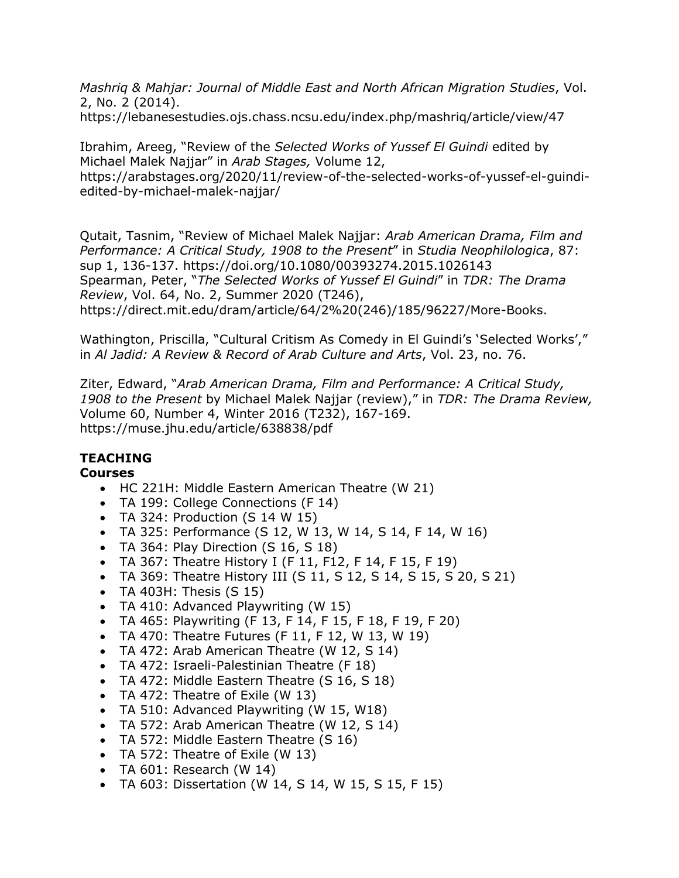*Mashriq & Mahjar: Journal of Middle East and North African Migration Studies*, Vol. 2, No. 2 (2014).

https://lebanesestudies.ojs.chass.ncsu.edu/index.php/mashriq/article/view/47

Ibrahim, Areeg, "Review of the *Selected Works of Yussef El Guindi* edited by Michael Malek Najjar" in *Arab Stages,* Volume 12, https://arabstages.org/2020/11/review-of-the-selected-works-of-yussef-el-guindiedited-by-michael-malek-najjar/

Qutait, Tasnim, "Review of Michael Malek Najjar: *Arab American Drama, Film and Performance: A Critical Study, 1908 to the Present*" in *Studia Neophilologica*, 87: sup 1, 136-137. https://doi.org/10.1080/00393274.2015.1026143 Spearman, Peter, "*The Selected Works of Yussef El Guindi*" in *TDR: The Drama Review*, Vol. 64, No. 2, Summer 2020 (T246), https://direct.mit.edu/dram/article/64/2%20(246)/185/96227/More-Books.

Wathington, Priscilla, "Cultural Critism As Comedy in El Guindi's 'Selected Works'," in *Al Jadid: A Review & Record of Arab Culture and Arts*, Vol. 23, no. 76.

Ziter, Edward, "*Arab American Drama, Film and Performance: A Critical Study, 1908 to the Present* by Michael Malek Najjar (review)," in *TDR: The Drama Review,*  Volume 60, Number 4, Winter 2016 (T232), 167-169. https://muse.jhu.edu/article/638838/pdf

# **TEACHING**

#### **Courses**

- HC 221H: Middle Eastern American Theatre (W 21)
- TA 199: College Connections (F 14)
- TA 324: Production  $(S$  14 W 15)
- TA 325: Performance (S 12, W 13, W 14, S 14, F 14, W 16)
- TA 364: Play Direction (S 16, S 18)
- TA 367: Theatre History I (F 11, F12, F 14, F 15, F 19)
- TA 369: Theatre History III (S 11, S 12, S 14, S 15, S 20, S 21)
- TA 403H: Thesis  $(S<sub>15</sub>)$
- TA 410: Advanced Playwriting (W 15)
- TA 465: Playwriting (F 13, F 14, F 15, F 18, F 19, F 20)
- TA 470: Theatre Futures (F 11, F 12, W 13, W 19)
- TA 472: Arab American Theatre (W 12, S 14)
- TA 472: Israeli-Palestinian Theatre (F 18)
- TA 472: Middle Eastern Theatre (S 16, S 18)
- TA 472: Theatre of Exile (W 13)
- TA 510: Advanced Playwriting (W 15, W18)
- TA 572: Arab American Theatre (W 12, S 14)
- TA 572: Middle Eastern Theatre (S 16)
- TA 572: Theatre of Exile (W 13)
- TA  $601$ : Research (W 14)
- TA 603: Dissertation (W 14, S 14, W 15, S 15, F 15)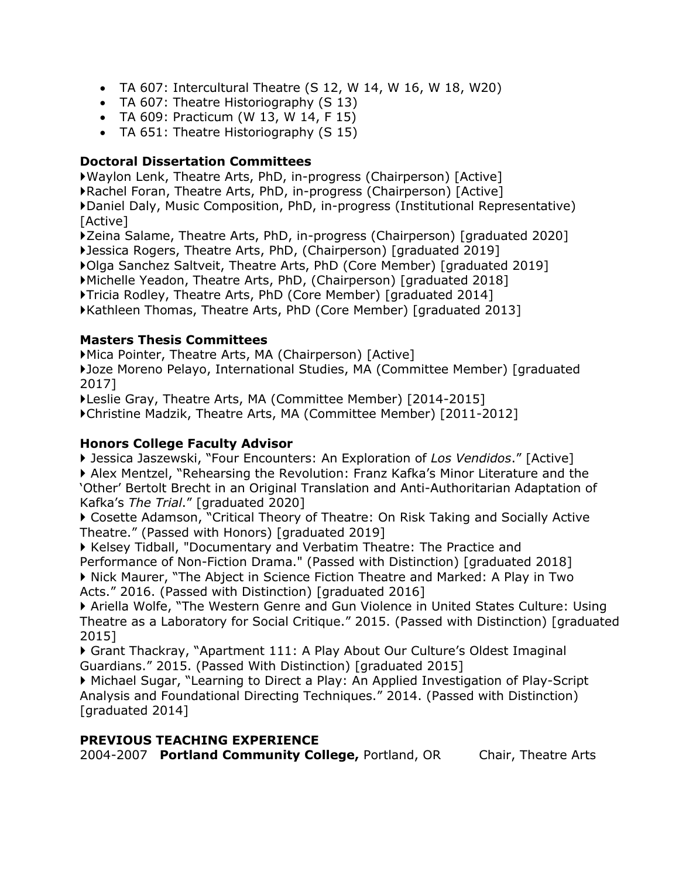- TA 607: Intercultural Theatre  $(S 12, W 14, W 16, W 18, W 20)$
- TA 607: Theatre Historiography (S 13)
- TA 609: Practicum (W 13, W 14, F 15)
- TA 651: Theatre Historiography (S 15)

## **Doctoral Dissertation Committees**

Waylon Lenk, Theatre Arts, PhD, in-progress (Chairperson) [Active] Rachel Foran, Theatre Arts, PhD, in-progress (Chairperson) [Active] Daniel Daly, Music Composition, PhD, in-progress (Institutional Representative) [Active]

Zeina Salame, Theatre Arts, PhD, in-progress (Chairperson) [graduated 2020] Jessica Rogers, Theatre Arts, PhD, (Chairperson) [graduated 2019] Olga Sanchez Saltveit, Theatre Arts, PhD (Core Member) [graduated 2019] Michelle Yeadon, Theatre Arts, PhD, (Chairperson) [graduated 2018] Tricia Rodley, Theatre Arts, PhD (Core Member) [graduated 2014] Kathleen Thomas, Theatre Arts, PhD (Core Member) [graduated 2013]

## **Masters Thesis Committees**

Mica Pointer, Theatre Arts, MA (Chairperson) [Active]

Joze Moreno Pelayo, International Studies, MA (Committee Member) [graduated 2017]

Leslie Gray, Theatre Arts, MA (Committee Member) [2014-2015]

Christine Madzik, Theatre Arts, MA (Committee Member) [2011-2012]

## **Honors College Faculty Advisor**

 Jessica Jaszewski, "Four Encounters: An Exploration of *Los Vendidos*." [Active] Alex Mentzel, "Rehearsing the Revolution: Franz Kafka's Minor Literature and the 'Other' Bertolt Brecht in an Original Translation and Anti-Authoritarian Adaptation of Kafka's *The Trial*." [graduated 2020]

 Cosette Adamson, "Critical Theory of Theatre: On Risk Taking and Socially Active Theatre." (Passed with Honors) [graduated 2019]

Kelsey Tidball, "Documentary and Verbatim Theatre: The Practice and Performance of Non-Fiction Drama." (Passed with Distinction) [graduated 2018] Nick Maurer, "The Abject in Science Fiction Theatre and Marked: A Play in Two Acts." 2016. (Passed with Distinction) [graduated 2016]

 Ariella Wolfe, "The Western Genre and Gun Violence in United States Culture: Using Theatre as a Laboratory for Social Critique." 2015. (Passed with Distinction) [graduated 2015]

 Grant Thackray, "Apartment 111: A Play About Our Culture's Oldest Imaginal Guardians." 2015. (Passed With Distinction) [graduated 2015]

 Michael Sugar, "Learning to Direct a Play: An Applied Investigation of Play-Script Analysis and Foundational Directing Techniques." 2014. (Passed with Distinction) [graduated 2014]

#### **PREVIOUS TEACHING EXPERIENCE**

2004-2007 **Portland Community College,** Portland, OR Chair, Theatre Arts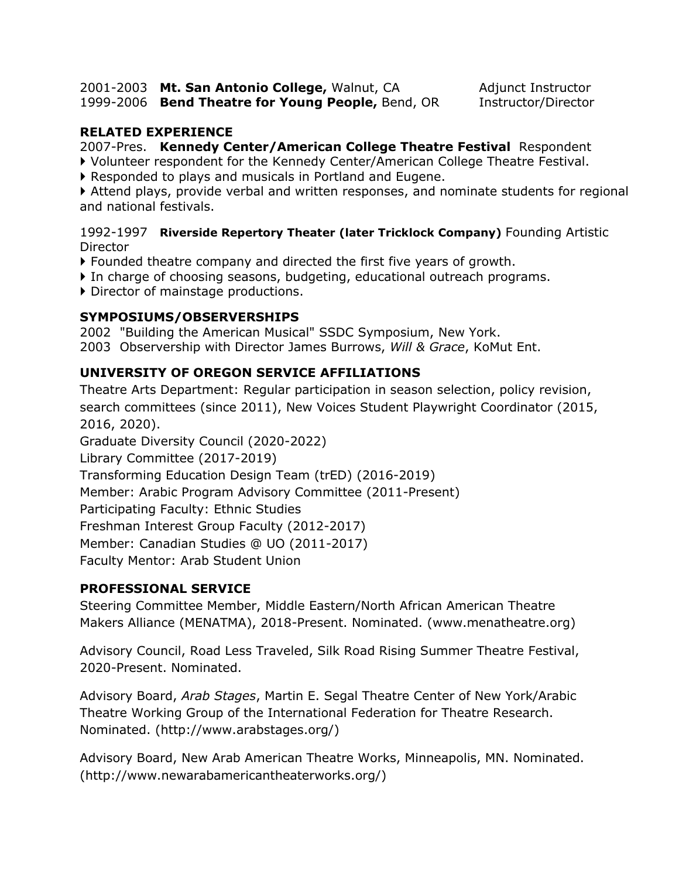2001-2003 **Mt. San Antonio College,** Walnut, CA Adjunct Instructor 1999-2006 **Bend Theatre for Young People,** Bend, OR Instructor/Director

#### **RELATED EXPERIENCE**

2007-Pres. **Kennedy Center/American College Theatre Festival** Respondent

- Volunteer respondent for the Kennedy Center/American College Theatre Festival.
- Responded to plays and musicals in Portland and Eugene.

 Attend plays, provide verbal and written responses, and nominate students for regional and national festivals.

1992-1997 **Riverside Repertory Theater (later Tricklock Company)** Founding Artistic **Director** 

- Founded theatre company and directed the first five years of growth.
- In charge of choosing seasons, budgeting, educational outreach programs.
- Director of mainstage productions.

## **SYMPOSIUMS/OBSERVERSHIPS**

2002 "Building the American Musical" SSDC Symposium, New York. 2003 Observership with Director James Burrows, *Will & Grace*, KoMut Ent.

# **UNIVERSITY OF OREGON SERVICE AFFILIATIONS**

Theatre Arts Department: Regular participation in season selection, policy revision, search committees (since 2011), New Voices Student Playwright Coordinator (2015, 2016, 2020).

Graduate Diversity Council (2020-2022)

Library Committee (2017-2019)

Transforming Education Design Team (trED) (2016-2019)

Member: Arabic Program Advisory Committee (2011-Present)

Participating Faculty: Ethnic Studies

Freshman Interest Group Faculty (2012-2017)

Member: Canadian Studies @ UO (2011-2017)

Faculty Mentor: Arab Student Union

# **PROFESSIONAL SERVICE**

Steering Committee Member, Middle Eastern/North African American Theatre Makers Alliance (MENATMA), 2018-Present. Nominated. (www.menatheatre.org)

Advisory Council, Road Less Traveled, Silk Road Rising Summer Theatre Festival, 2020-Present. Nominated.

Advisory Board, *Arab Stages*, Martin E. Segal Theatre Center of New York/Arabic Theatre Working Group of the International Federation for Theatre Research. Nominated. (http://www.arabstages.org/)

Advisory Board, New Arab American Theatre Works, Minneapolis, MN. Nominated. (http://www.newarabamericantheaterworks.org/)